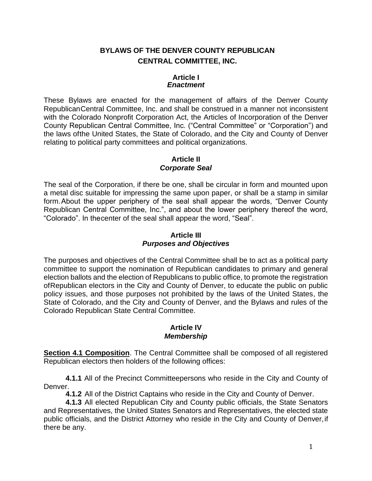# **BYLAWS OF THE DENVER COUNTY REPUBLICAN CENTRAL COMMITTEE, INC.**

## **Article I** *Enactment*

These Bylaws are enacted for the management of affairs of the Denver County RepublicanCentral Committee, Inc. and shall be construed in a manner not inconsistent with the Colorado Nonprofit Corporation Act, the Articles of Incorporation of the Denver County Republican Central Committee, Inc. ("Central Committee" or "Corporation") and the laws ofthe United States, the State of Colorado, and the City and County of Denver relating to political party committees and political organizations.

## **Article II** *Corporate Seal*

The seal of the Corporation, if there be one, shall be circular in form and mounted upon a metal disc suitable for impressing the same upon paper, or shall be a stamp in similar form.About the upper periphery of the seal shall appear the words, "Denver County Republican Central Committee, Inc.", and about the lower periphery thereof the word, "Colorado". In thecenter of the seal shall appear the word, "Seal".

## **Article III** *Purposes and Objectives*

The purposes and objectives of the Central Committee shall be to act as a political party committee to support the nomination of Republican candidates to primary and general election ballots and the election of Republicans to public office, to promote the registration ofRepublican electors in the City and County of Denver, to educate the public on public policy issues, and those purposes not prohibited by the laws of the United States, the State of Colorado, and the City and County of Denver, and the Bylaws and rules of the Colorado Republican State Central Committee.

## **Article IV** *Membership*

**Section 4.1 Composition**. The Central Committee shall be composed of all registered Republican electors then holders of the following offices:

**4.1.1** All of the Precinct Committeepersons who reside in the City and County of Denver.

**4.1.2** All of the District Captains who reside in the City and County of Denver.

**4.1.3** All elected Republican City and County public officials, the State Senators and Representatives, the United States Senators and Representatives, the elected state public officials, and the District Attorney who reside in the City and County of Denver,if there be any.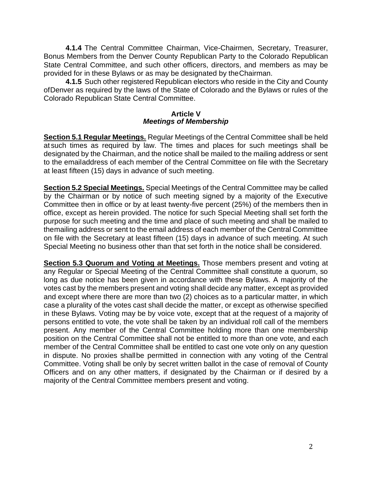**4.1.4** The Central Committee Chairman, Vice-Chairmen, Secretary, Treasurer, Bonus Members from the Denver County Republican Party to the Colorado Republican State Central Committee, and such other officers, directors, and members as may be provided for in these Bylaws or as may be designated by theChairman.

**4.1.5** Such other registered Republican electors who reside in the City and County ofDenver as required by the laws of the State of Colorado and the Bylaws or rules of the Colorado Republican State Central Committee.

#### **Article V** *Meetings of Membership*

**Section 5.1 Regular Meetings.** Regular Meetings of the Central Committee shall be held at such times as required by law. The times and places for such meetings shall be designated by the Chairman, and the notice shall be mailed to the mailing address or sent to the emailaddress of each member of the Central Committee on file with the Secretary at least fifteen (15) days in advance of such meeting.

**Section 5.2 Special Meetings.** Special Meetings of the Central Committee may be called by the Chairman or by notice of such meeting signed by a majority of the Executive Committee then in office or by at least twenty-five percent (25%) of the members then in office, except as herein provided. The notice for such Special Meeting shall set forth the purpose for such meeting and the time and place of such meeting and shall be mailed to themailing address or sent to the email address of each member of the Central Committee on file with the Secretary at least fifteen (15) days in advance of such meeting. At such Special Meeting no business other than that set forth in the notice shall be considered.

**Section 5.3 Quorum and Voting at Meetings.** Those members present and voting at any Regular or Special Meeting of the Central Committee shall constitute a quorum, so long as due notice has been given in accordance with these Bylaws. A majority of the votes cast by the members present and voting shall decide any matter, except as provided and except where there are more than two (2) choices as to a particular matter, in which case a plurality of the votes cast shall decide the matter, or except as otherwise specified in these Bylaws. Voting may be by voice vote, except that at the request of a majority of persons entitled to vote, the vote shall be taken by an individual roll call of the members present. Any member of the Central Committee holding more than one membership position on the Central Committee shall not be entitled to more than one vote, and each member of the Central Committee shall be entitled to cast one vote only on any question in dispute. No proxies shallbe permitted in connection with any voting of the Central Committee. Voting shall be only by secret written ballot in the case of removal of County Officers and on any other matters, if designated by the Chairman or if desired by a majority of the Central Committee members present and voting.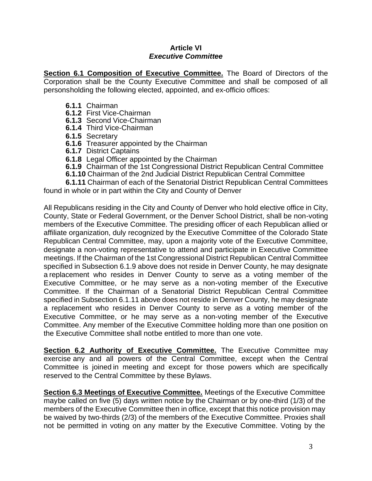### **Article VI** *Executive Committee*

**Section 6.1 Composition of Executive Committee.** The Board of Directors of the Corporation shall be the County Executive Committee and shall be composed of all personsholding the following elected, appointed, and ex-officio offices:

- **6.1.1** Chairman
- **6.1.2** First Vice-Chairman
- **6.1.3** Second Vice-Chairman
- **6.1.4** Third Vice-Chairman
- **6.1.5** Secretary
- **6.1.6** Treasurer appointed by the Chairman
- **6.1.7** District Captains
- **6.1.8** Legal Officer appointed by the Chairman
- **6.1.9** Chairman of the 1st Congressional District Republican Central Committee
- **6.1.10** Chairman of the 2nd Judicial District Republican Central Committee
- **6.1.11** Chairman of each of the Senatorial District Republican Central Committees found in whole or in part within the City and County of Denver

All Republicans residing in the City and County of Denver who hold elective office in City, County, State or Federal Government, or the Denver School District, shall be non-voting members of the Executive Committee. The presiding officer of each Republican allied or affiliate organization, duly recognized by the Executive Committee of the Colorado State Republican Central Committee, may, upon a majority vote of the Executive Committee, designate a non-voting representative to attend and participate in Executive Committee meetings. If the Chairman of the 1st Congressional District Republican Central Committee specified in Subsection 6.1.9 above does not reside in Denver County, he may designate a replacement who resides in Denver County to serve as a voting member of the Executive Committee, or he may serve as a non-voting member of the Executive Committee. If the Chairman of a Senatorial District Republican Central Committee specified in Subsection 6.1.11 above does not reside in Denver County, he may designate a replacement who resides in Denver County to serve as a voting member of the Executive Committee, or he may serve as a non-voting member of the Executive Committee. Any member of the Executive Committee holding more than one position on the Executive Committee shall notbe entitled to more than one vote.

**Section 6.2 Authority of Executive Committee.** The Executive Committee may exercise any and all powers of the Central Committee, except when the Central Committee is joined in meeting and except for those powers which are specifically reserved to the Central Committee by these Bylaws.

**Section 6.3 Meetings of Executive Committee.** Meetings of the Executive Committee maybe called on five (5) days written notice by the Chairman or by one-third (1/3) of the members of the Executive Committee then in office, except that this notice provision may be waived by two-thirds (2/3) of the members of the Executive Committee. Proxies shall not be permitted in voting on any matter by the Executive Committee. Voting by the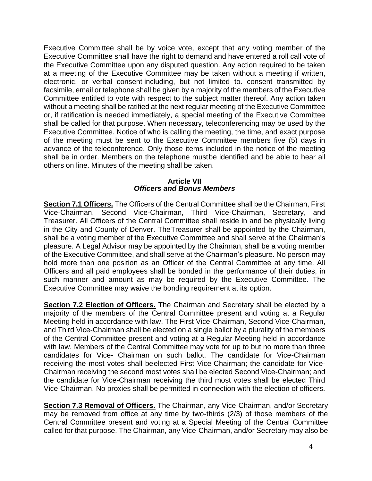Executive Committee shall be by voice vote, except that any voting member of the Executive Committee shall have the right to demand and have entered a roll call vote of the Executive Committee upon any disputed question. Any action required to be taken at a meeting of the Executive Committee may be taken without a meeting if written, electronic, or verbal consent including, but not limited to. consent transmitted by facsimile, email or telephone shall be given by a majority of the members of the Executive Committee entitled to vote with respect to the subject matter thereof. Any action taken without a meeting shall be ratified at the next regular meeting of the Executive Committee or, if ratification is needed immediately, a special meeting of the Executive Committee shall be called for that purpose. When necessary, teleconferencing may be used by the Executive Committee. Notice of who is calling the meeting, the time, and exact purpose of the meeting must be sent to the Executive Committee members five (5) days in advance of the teleconference. Only those items included in the notice of the meeting shall be in order. Members on the telephone mustbe identified and be able to hear all others on line. Minutes of the meeting shall be taken.

### **Article VII** *Officers and Bonus Members*

**Section 7.1 Officers.** The Officers of the Central Committee shall be the Chairman, First Vice-Chairman, Second Vice-Chairman, Third Vice-Chairman, Secretary, and Treasurer. All Officers of the Central Committee shall reside in and be physically living in the City and County of Denver. TheTreasurer shall be appointed by the Chairman, shall be a voting member of the Executive Committee and shall serve at the Chairman's pleasure. A Legal Advisor may be appointed by the Chairman, shall be a voting member of the Executive Committee, and shall serve at the Chairman's pleasure. No person may hold more than one position as an Officer of the Central Committee at any time. All Officers and all paid employees shall be bonded in the performance of their duties, in such manner and amount as may be required by the Executive Committee. The Executive Committee may waive the bonding requirement at its option.

**Section 7.2 Election of Officers.** The Chairman and Secretary shall be elected by a majority of the members of the Central Committee present and voting at a Regular Meeting held in accordance with law. The First Vice-Chairman, Second Vice-Chairman, and Third Vice-Chairman shall be elected on a single ballot by a plurality of the members of the Central Committee present and voting at a Regular Meeting held in accordance with law. Members of the Central Committee may vote for up to but no more than three candidates for Vice- Chairman on such ballot. The candidate for Vice-Chairman receiving the most votes shall beelected First Vice-Chairman; the candidate for Vice-Chairman receiving the second most votes shall be elected Second Vice-Chairman; and the candidate for Vice-Chairman receiving the third most votes shall be elected Third Vice-Chairman. No proxies shall be permitted in connection with the election of officers.

**Section 7.3 Removal of Officers.** The Chairman, any Vice-Chairman, and/or Secretary may be removed from office at any time by two-thirds (2/3) of those members of the Central Committee present and voting at a Special Meeting of the Central Committee called for that purpose. The Chairman, any Vice-Chairman, and/or Secretary may also be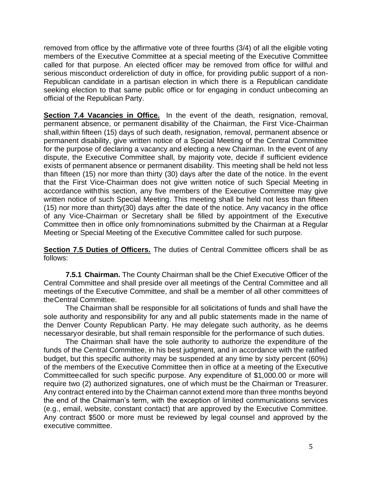removed from office by the affirmative vote of three fourths (3/4) of all the eligible voting members of the Executive Committee at a special meeting of the Executive Committee called for that purpose. An elected officer may be removed from office for willful and serious misconduct ordereliction of duty in office, for providing public support of a non-Republican candidate in a partisan election in which there is a Republican candidate seeking election to that same public office or for engaging in conduct unbecoming an official of the Republican Party.

**Section 7.4 Vacancies in Office.** In the event of the death, resignation, removal, permanent absence, or permanent disability of the Chairman, the First Vice-Chairman shall,within fifteen (15) days of such death, resignation, removal, permanent absence or permanent disability, give written notice of a Special Meeting of the Central Committee for the purpose of declaring a vacancy and electing a new Chairman. In the event of any dispute, the Executive Committee shall, by majority vote, decide if sufficient evidence exists of permanent absence or permanent disability. This meeting shall be held not less than fifteen (15) nor more than thirty (30) days after the date of the notice. In the event that the First Vice-Chairman does not give written notice of such Special Meeting in accordance withthis section, any five members of the Executive Committee may give written notice of such Special Meeting. This meeting shall be held not less than fifteen (15) nor more than thirty(30) days after the date of the notice. Any vacancy in the office of any Vice-Chairman or Secretary shall be filled by appointment of the Executive Committee then in office only fromnominations submitted by the Chairman at a Regular Meeting or Special Meeting of the Executive Committee called for such purpose.

**Section 7.5 Duties of Officers.** The duties of Central Committee officers shall be as follows:

**7.5.1 Chairman.** The County Chairman shall be the Chief Executive Officer of the Central Committee and shall preside over all meetings of the Central Committee and all meetings of the Executive Committee, and shall be a member of all other committees of theCentral Committee.

The Chairman shall be responsible for all solicitations of funds and shall have the sole authority and responsibility for any and all public statements made in the name of the Denver County Republican Party. He may delegate such authority, as he deems necessaryor desirable, but shall remain responsible for the performance of such duties.

The Chairman shall have the sole authority to authorize the expenditure of the funds of the Central Committee, in his best judgment, and in accordance with the ratified budget, but this specific authority may be suspended at any time by sixty percent (60%) of the members of the Executive Committee then in office at a meeting of the Executive Committeecalled for such specific purpose. Any expenditure of \$1,000.00 or more will require two (2) authorized signatures, one of which must be the Chairman or Treasurer. Any contract entered into by the Chairman cannot extend more than three months beyond the end of the Chairman's term, with the exception of limited communications services (e.g., email, website, constant contact) that are approved by the Executive Committee. Any contract \$500 or more must be reviewed by legal counsel and approved by the executive committee.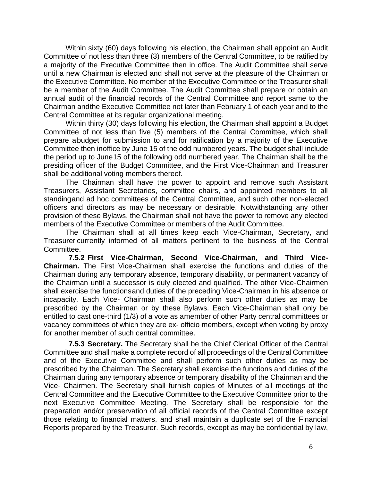Within sixty (60) days following his election, the Chairman shall appoint an Audit Committee of not less than three (3) members of the Central Committee, to be ratified by a majority of the Executive Committee then in office. The Audit Committee shall serve until a new Chairman is elected and shall not serve at the pleasure of the Chairman or the Executive Committee. No member of the Executive Committee or the Treasurer shall be a member of the Audit Committee. The Audit Committee shall prepare or obtain an annual audit of the financial records of the Central Committee and report same to the Chairman andthe Executive Committee not later than February 1 of each year and to the Central Committee at its regular organizational meeting.

Within thirty (30) days following his election, the Chairman shall appoint a Budget Committee of not less than five (5) members of the Central Committee, which shall prepare abudget for submission to and for ratification by a majority of the Executive Committee then inoffice by June 15 of the odd numbered years. The budget shall include the period up to June15 of the following odd numbered year. The Chairman shall be the presiding officer of the Budget Committee, and the First Vice-Chairman and Treasurer shall be additional voting members thereof.

The Chairman shall have the power to appoint and remove such Assistant Treasurers, Assistant Secretaries, committee chairs, and appointed members to all standingand ad hoc committees of the Central Committee, and such other non-elected officers and directors as may be necessary or desirable. Notwithstanding any other provision of these Bylaws, the Chairman shall not have the power to remove any elected members of the Executive Committee or members of the Audit Committee.

The Chairman shall at all times keep each Vice-Chairman, Secretary, and Treasurer currently informed of all matters pertinent to the business of the Central Committee.

**7.5.2 First Vice-Chairman, Second Vice-Chairman, and Third Vice-Chairman.** The First Vice-Chairman shall exercise the functions and duties of the Chairman during any temporary absence, temporary disability, or permanent vacancy of the Chairman until a successor is duly elected and qualified. The other Vice-Chairmen shall exercise the functionsand duties of the preceding Vice-Chairman in his absence or incapacity. Each Vice- Chairman shall also perform such other duties as may be prescribed by the Chairman or by these Bylaws. Each Vice-Chairman shall only be entitled to cast one-third (1/3) of a vote as amember of other Party central committees or vacancy committees of which they are ex- officio members, except when voting by proxy for another member of such central committee.

**7.5.3 Secretary.** The Secretary shall be the Chief Clerical Officer of the Central Committee and shall make a complete record of all proceedings of the Central Committee and of the Executive Committee and shall perform such other duties as may be prescribed by the Chairman. The Secretary shall exercise the functions and duties of the Chairman during any temporary absence or temporary disability of the Chairman and the Vice- Chairmen. The Secretary shall furnish copies of Minutes of all meetings of the Central Committee and the Executive Committee to the Executive Committee prior to the next Executive Committee Meeting. The Secretary shall be responsible for the preparation and/or preservation of all official records of the Central Committee except those relating to financial matters, and shall maintain a duplicate set of the Financial Reports prepared by the Treasurer. Such records, except as may be confidential by law,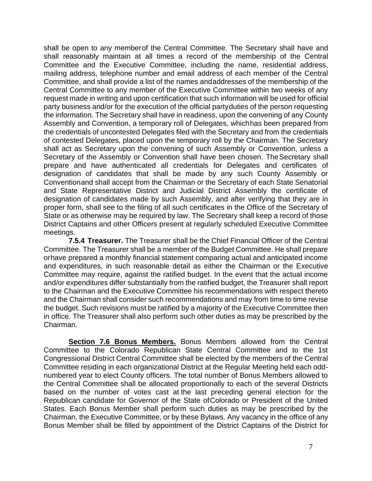shall be open to any memberof the Central Committee. The Secretary shall have and shall reasonably maintain at all times a record of the membership of the Central Committee and the Executive Committee, including the name, residential address, mailing address, telephone number and email address of each member of the Central Committee, and shall provide a list of the names andaddresses of the membership of the Central Committee to any member of the Executive Committee within two weeks of any request made in writing and upon certification that such information will be used for official party business and/or for the execution of the official partyduties of the person requesting the information. The Secretary shall have in readiness, upon the convening of any County Assembly and Convention, a temporary roll of Delegates, whichhas been prepared from the credentials of uncontested Delegates filed with the Secretary and from the credentials of contested Delegates, placed upon the temporary roll by the Chairman. The Secretary shall act as Secretary upon the convening of such Assembly or Convention, unless a Secretary of the Assembly or Convention shall have been chosen. The Secretary shall prepare and have authenticated all credentials for Delegates and certificates of designation of candidates that shall be made by any such County Assembly or Conventionand shall accept from the Chairman or the Secretary of each State Senatorial and State Representative District and Judicial District Assembly the certificate of designation of candidates made by such Assembly, and after verifying that they are in proper form, shall see to the filing of all such certificates in the Office of the Secretary of State or as otherwise may be required by law. The Secretary shall keep a record of those District Captains and other Officers present at regularly scheduled Executive Committee meetings.

**7.5.4 Treasurer.** The Treasurer shall be the Chief Financial Officer of the Central Committee. The Treasurer shall be a member of the Budget Committee. He shall prepare orhave prepared a monthly financial statement comparing actual and anticipated income and expenditures, in such reasonable detail as either the Chairman or the Executive Committee may require, against the ratified budget. In the event that the actual income and/or expenditures differ substantially from the ratified budget, the Treasurer shall report to the Chairman and the Executive Committee his recommendations with respect thereto and the Chairman shall consider such recommendations and may from time to time revise the budget. Such revisions must be ratified by a majority of the Executive Committee then in office. The Treasurer shall also perform such other duties as may be prescribed by the Chairman.

**Section 7.6 Bonus Members.** Bonus Members allowed from the Central Committee to the Colorado Republican State Central Committee and to the 1st Congressional District Central Committee shall be elected by the members of the Central Committee residing in each organizational District at the Regular Meeting held each oddnumbered year to elect County officers. The total number of Bonus Members allowed to the Central Committee shall be allocated proportionally to each of the several Districts based on the number of votes cast at the last preceding general election for the Republican candidate for Governor of the State ofColorado or President of the United States. Each Bonus Member shall perform such duties as may be prescribed by the Chairman, the Executive Committee, or by these Bylaws. Any vacancy in the office of any Bonus Member shall be filled by appointment of the District Captains of the District for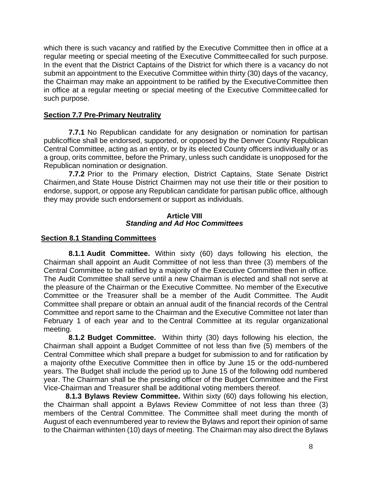which there is such vacancy and ratified by the Executive Committee then in office at a regular meeting or special meeting of the Executive Committeecalled for such purpose. In the event that the District Captains of the District for which there is a vacancy do not submit an appointment to the Executive Committee within thirty (30) days of the vacancy, the Chairman may make an appointment to be ratified by the ExecutiveCommittee then in office at a regular meeting or special meeting of the Executive Committeecalled for such purpose.

## **Section 7.7 Pre-Primary Neutrality**

**7.7.1** No Republican candidate for any designation or nomination for partisan publicoffice shall be endorsed, supported, or opposed by the Denver County Republican Central Committee, acting as an entity, or by its elected County officers individually or as a group, orits committee, before the Primary, unless such candidate is unopposed for the Republican nomination or designation.

**7.7.2** Prior to the Primary election, District Captains, State Senate District Chairmen,and State House District Chairmen may not use their title or their position to endorse, support, or oppose any Republican candidate for partisan public office, although they may provide such endorsement or support as individuals.

#### **Article VIII** *Standing and Ad Hoc Committees*

## **Section 8.1 Standing Committees**

**8.1.1 Audit Committee.** Within sixty (60) days following his election, the Chairman shall appoint an Audit Committee of not less than three (3) members of the Central Committee to be ratified by a majority of the Executive Committee then in office. The Audit Committee shall serve until a new Chairman is elected and shall not serve at the pleasure of the Chairman or the Executive Committee. No member of the Executive Committee or the Treasurer shall be a member of the Audit Committee. The Audit Committee shall prepare or obtain an annual audit of the financial records of the Central Committee and report same to the Chairman and the Executive Committee not later than February 1 of each year and to the Central Committee at its regular organizational meeting.

**8.1.2 Budget Committee.** Within thirty (30) days following his election, the Chairman shall appoint a Budget Committee of not less than five (5) members of the Central Committee which shall prepare a budget for submission to and for ratification by a majority ofthe Executive Committee then in office by June 15 or the odd-numbered years. The Budget shall include the period up to June 15 of the following odd numbered year. The Chairman shall be the presiding officer of the Budget Committee and the First Vice-Chairman and Treasurer shall be additional voting members thereof.

**8.1.3 Bylaws Review Committee.** Within sixty (60) days following his election, the Chairman shall appoint a Bylaws Review Committee of not less than three (3) members of the Central Committee. The Committee shall meet during the month of August of each evennumbered year to review the Bylaws and report their opinion of same to the Chairman withinten (10) days of meeting. The Chairman may also direct the Bylaws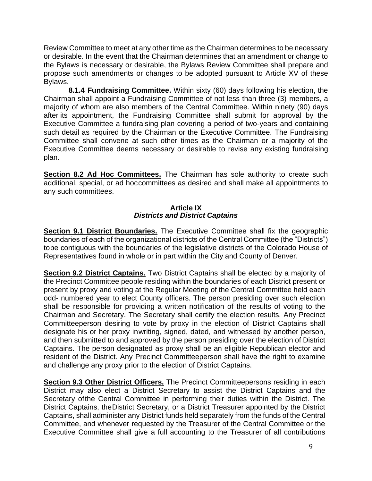Review Committee to meet at any other time as the Chairman determines to be necessary or desirable. In the event that the Chairman determines that an amendment or change to the Bylaws is necessary or desirable, the Bylaws Review Committee shall prepare and propose such amendments or changes to be adopted pursuant to Article XV of these Bylaws.

**8.1.4 Fundraising Committee.** Within sixty (60) days following his election, the Chairman shall appoint a Fundraising Committee of not less than three (3) members, a majority of whom are also members of the Central Committee. Within ninety (90) days after its appointment, the Fundraising Committee shall submit for approval by the Executive Committee a fundraising plan covering a period of two-years and containing such detail as required by the Chairman or the Executive Committee. The Fundraising Committee shall convene at such other times as the Chairman or a majority of the Executive Committee deems necessary or desirable to revise any existing fundraising plan.

**Section 8.2 Ad Hoc Committees.** The Chairman has sole authority to create such additional, special, or ad hoccommittees as desired and shall make all appointments to any such committees.

### **Article IX** *Districts and District Captains*

**Section 9.1 District Boundaries.** The Executive Committee shall fix the geographic boundaries of each of the organizational districts of the Central Committee (the "Districts") tobe contiguous with the boundaries of the legislative districts of the Colorado House of Representatives found in whole or in part within the City and County of Denver.

**Section 9.2 District Captains.** Two District Captains shall be elected by a majority of the Precinct Committee people residing within the boundaries of each District present or present by proxy and voting at the Regular Meeting of the Central Committee held each odd- numbered year to elect County officers. The person presiding over such election shall be responsible for providing a written notification of the results of voting to the Chairman and Secretary. The Secretary shall certify the election results. Any Precinct Committeeperson desiring to vote by proxy in the election of District Captains shall designate his or her proxy inwriting, signed, dated, and witnessed by another person, and then submitted to and approved by the person presiding over the election of District Captains. The person designated as proxy shall be an eligible Republican elector and resident of the District. Any Precinct Committeeperson shall have the right to examine and challenge any proxy prior to the election of District Captains.

**Section 9.3 Other District Officers.** The Precinct Committeepersons residing in each District may also elect a District Secretary to assist the District Captains and the Secretary ofthe Central Committee in performing their duties within the District. The District Captains, theDistrict Secretary, or a District Treasurer appointed by the District Captains, shall administer any District funds held separately from the funds of the Central Committee, and whenever requested by the Treasurer of the Central Committee or the Executive Committee shall give a full accounting to the Treasurer of all contributions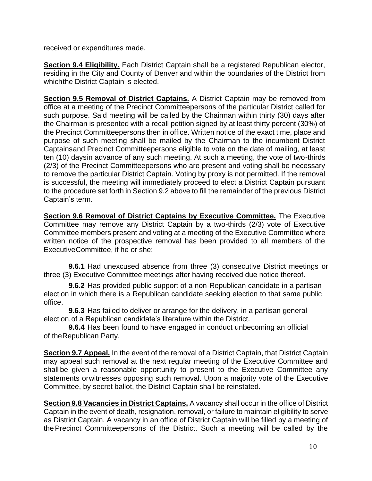received or expenditures made.

**Section 9.4 Eligibility.** Each District Captain shall be a registered Republican elector, residing in the City and County of Denver and within the boundaries of the District from whichthe District Captain is elected.

**Section 9.5 Removal of District Captains.** A District Captain may be removed from office at a meeting of the Precinct Committeepersons of the particular District called for such purpose. Said meeting will be called by the Chairman within thirty (30) days after the Chairman is presented with a recall petition signed by at least thirty percent (30%) of the Precinct Committeepersons then in office. Written notice of the exact time, place and purpose of such meeting shall be mailed by the Chairman to the incumbent District Captainsand Precinct Committeepersons eligible to vote on the date of mailing, at least ten (10) daysin advance of any such meeting. At such a meeting, the vote of two-thirds (2/3) of the Precinct Committeepersons who are present and voting shall be necessary to remove the particular District Captain. Voting by proxy is not permitted. If the removal is successful, the meeting will immediately proceed to elect a District Captain pursuant to the procedure set forth in Section 9.2 above to fill the remainder of the previous District Captain's term.

**Section 9.6 Removal of District Captains by Executive Committee.** The Executive Committee may remove any District Captain by a two-thirds (2/3) vote of Executive Committee members present and voting at a meeting of the Executive Committee where written notice of the prospective removal has been provided to all members of the ExecutiveCommittee, if he or she:

**9.6.1** Had unexcused absence from three (3) consecutive District meetings or three (3) Executive Committee meetings after having received due notice thereof.

**9.6.2** Has provided public support of a non-Republican candidate in a partisan election in which there is a Republican candidate seeking election to that same public office.

**9.6.3** Has failed to deliver or arrange for the delivery, in a partisan general election,of a Republican candidate's literature within the District.

**9.6.4** Has been found to have engaged in conduct unbecoming an official of theRepublican Party.

**Section 9.7 Appeal.** In the event of the removal of a District Captain, that District Captain may appeal such removal at the next regular meeting of the Executive Committee and shall be given a reasonable opportunity to present to the Executive Committee any statements orwitnesses opposing such removal. Upon a majority vote of the Executive Committee, by secret ballot, the District Captain shall be reinstated.

**Section 9.8 Vacancies in District Captains.** A vacancy shall occur in the office of District Captain in the event of death, resignation, removal, or failure to maintain eligibility to serve as District Captain. A vacancy in an office of District Captain will be filled by a meeting of thePrecinct Committeepersons of the District. Such a meeting will be called by the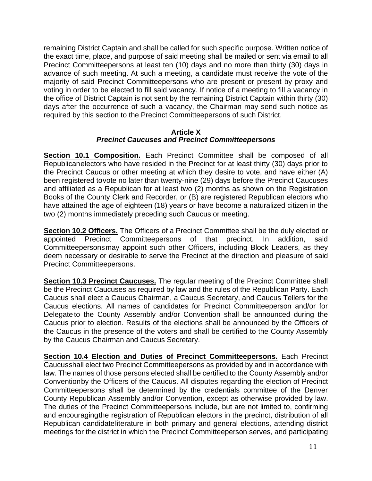remaining District Captain and shall be called for such specific purpose. Written notice of the exact time, place, and purpose of said meeting shall be mailed or sent via email to all Precinct Committeepersons at least ten (10) days and no more than thirty (30) days in advance of such meeting. At such a meeting, a candidate must receive the vote of the majority of said Precinct Committeepersons who are present or present by proxy and voting in order to be elected to fill said vacancy. If notice of a meeting to fill a vacancy in the office of District Captain is not sent by the remaining District Captain within thirty (30) days after the occurrence of such a vacancy, the Chairman may send such notice as required by this section to the Precinct Committeepersons of such District.

#### **Article X** *Precinct Caucuses and Precinct Committeepersons*

**Section 10.1 Composition.** Each Precinct Committee shall be composed of all Republicanelectors who have resided in the Precinct for at least thirty (30) days prior to the Precinct Caucus or other meeting at which they desire to vote, and have either (A) been registered tovote no later than twenty-nine (29) days before the Precinct Caucuses and affiliated as a Republican for at least two (2) months as shown on the Registration Books of the County Clerk and Recorder, or (B) are registered Republican electors who have attained the age of eighteen (18) years or have become a naturalized citizen in the two (2) months immediately preceding such Caucus or meeting.

**Section 10.2 Officers.** The Officers of a Precinct Committee shall be the duly elected or appointed Precinct Committeepersons of that precinct. In addition, said Committeepersonsmay appoint such other Officers, including Block Leaders, as they deem necessary or desirable to serve the Precinct at the direction and pleasure of said Precinct Committeepersons.

**Section 10.3 Precinct Caucuses.** The regular meeting of the Precinct Committee shall be the Precinct Caucuses as required by law and the rules of the Republican Party. Each Caucus shall elect a Caucus Chairman, a Caucus Secretary, and Caucus Tellers for the Caucus elections. All names of candidates for Precinct Committeeperson and/or for Delegate to the County Assembly and/or Convention shall be announced during the Caucus prior to election. Results of the elections shall be announced by the Officers of the Caucus in the presence of the voters and shall be certified to the County Assembly by the Caucus Chairman and Caucus Secretary.

**Section 10.4 Election and Duties of Precinct Committeepersons.** Each Precinct Caucusshall elect two Precinct Committeepersons as provided by and in accordance with law. The names of those persons elected shall be certified to the County Assembly and/or Conventionby the Officers of the Caucus. All disputes regarding the election of Precinct Committeepersons shall be determined by the credentials committee of the Denver County Republican Assembly and/or Convention, except as otherwise provided by law. The duties of the Precinct Committeepersons include, but are not limited to, confirming and encouragingthe registration of Republican electors in the precinct, distribution of all Republican candidateliterature in both primary and general elections, attending district meetings for the district in which the Precinct Committeeperson serves, and participating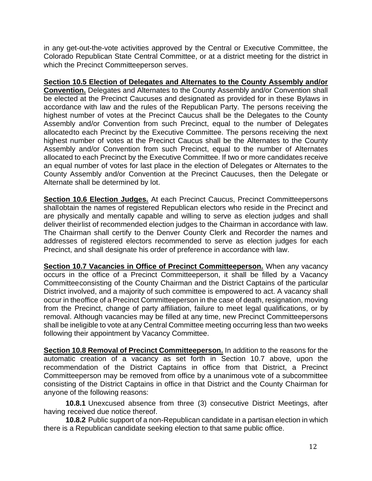in any get-out-the-vote activities approved by the Central or Executive Committee, the Colorado Republican State Central Committee, or at a district meeting for the district in which the Precinct Committeeperson serves.

## **Section 10.5 Election of Delegates and Alternates to the County Assembly and/or**

**Convention.** Delegates and Alternates to the County Assembly and/or Convention shall be elected at the Precinct Caucuses and designated as provided for in these Bylaws in accordance with law and the rules of the Republican Party. The persons receiving the highest number of votes at the Precinct Caucus shall be the Delegates to the County Assembly and/or Convention from such Precinct, equal to the number of Delegates allocatedto each Precinct by the Executive Committee. The persons receiving the next highest number of votes at the Precinct Caucus shall be the Alternates to the County Assembly and/or Convention from such Precinct, equal to the number of Alternates allocated to each Precinct by the Executive Committee. If two or more candidates receive an equal number of votes for last place in the election of Delegates or Alternates to the County Assembly and/or Convention at the Precinct Caucuses, then the Delegate or Alternate shall be determined by lot.

**Section 10.6 Election Judges.** At each Precinct Caucus, Precinct Committeepersons shallobtain the names of registered Republican electors who reside in the Precinct and are physically and mentally capable and willing to serve as election judges and shall deliver theirlist of recommended election judges to the Chairman in accordance with law. The Chairman shall certify to the Denver County Clerk and Recorder the names and addresses of registered electors recommended to serve as election judges for each Precinct, and shall designate his order of preference in accordance with law.

**Section 10.7 Vacancies in Office of Precinct Committeeperson.** When any vacancy occurs in the office of a Precinct Committeeperson, it shall be filled by a Vacancy Committeeconsisting of the County Chairman and the District Captains of the particular District involved, and a majority of such committee is empowered to act. A vacancy shall occur in theoffice of a Precinct Committeeperson in the case of death, resignation, moving from the Precinct, change of party affiliation, failure to meet legal qualifications, or by removal. Although vacancies may be filled at any time, new Precinct Committeepersons shall be ineligible to vote at any Central Committee meeting occurring less than two weeks following their appointment by Vacancy Committee.

**Section 10.8 Removal of Precinct Committeeperson.** In addition to the reasons for the automatic creation of a vacancy as set forth in Section 10.7 above, upon the recommendation of the District Captains in office from that District, a Precinct Committeeperson may be removed from office by a unanimous vote of a subcommittee consisting of the District Captains in office in that District and the County Chairman for anyone of the following reasons:

**10.8.1** Unexcused absence from three (3) consecutive District Meetings, after having received due notice thereof.

**10.8.2** Public support of a non-Republican candidate in a partisan election in which there is a Republican candidate seeking election to that same public office.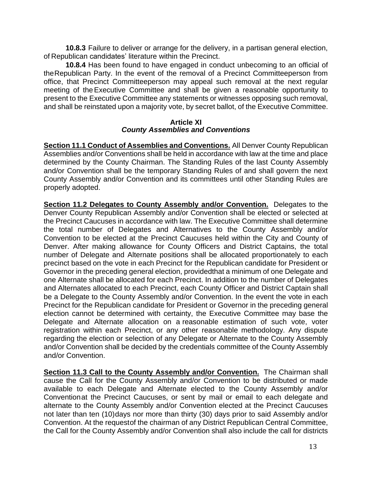**10.8.3** Failure to deliver or arrange for the delivery, in a partisan general election, of Republican candidates' literature within the Precinct.

**10.8.4** Has been found to have engaged in conduct unbecoming to an official of theRepublican Party. In the event of the removal of a Precinct Committeeperson from office, that Precinct Committeeperson may appeal such removal at the next regular meeting of theExecutive Committee and shall be given a reasonable opportunity to present to the Executive Committee any statements or witnesses opposing such removal, and shall be reinstated upon a majority vote, by secret ballot, of the Executive Committee.

#### **Article XI** *County Assemblies and Conventions*

**Section 11.1 Conduct of Assemblies and Conventions.** All Denver County Republican Assemblies and/or Conventions shall be held in accordance with law at the time and place determined by the County Chairman. The Standing Rules of the last County Assembly and/or Convention shall be the temporary Standing Rules of and shall govern the next County Assembly and/or Convention and its committees until other Standing Rules are properly adopted.

**Section 11.2 Delegates to County Assembly and/or Convention.** Delegates to the Denver County Republican Assembly and/or Convention shall be elected or selected at the Precinct Caucuses in accordance with law. The Executive Committee shall determine the total number of Delegates and Alternatives to the County Assembly and/or Convention to be elected at the Precinct Caucuses held within the City and County of Denver. After making allowance for County Officers and District Captains, the total number of Delegate and Alternate positions shall be allocated proportionately to each precinct based on the vote in each Precinct for the Republican candidate for President or Governor in the preceding general election, providedthat a minimum of one Delegate and one Alternate shall be allocated for each Precinct. In addition to the number of Delegates and Alternates allocated to each Precinct, each County Officer and District Captain shall be a Delegate to the County Assembly and/or Convention. In the event the vote in each Precinct for the Republican candidate for President or Governor in the preceding general election cannot be determined with certainty, the Executive Committee may base the Delegate and Alternate allocation on a reasonable estimation of such vote, voter registration within each Precinct, or any other reasonable methodology. Any dispute regarding the election or selection of any Delegate or Alternate to the County Assembly and/or Convention shall be decided by the credentials committee of the County Assembly and/or Convention.

**Section 11.3 Call to the County Assembly and/or Convention.** The Chairman shall cause the Call for the County Assembly and/or Convention to be distributed or made available to each Delegate and Alternate elected to the County Assembly and/or Conventionat the Precinct Caucuses, or sent by mail or email to each delegate and alternate to the County Assembly and/or Convention elected at the Precinct Caucuses not later than ten (10)days nor more than thirty (30) days prior to said Assembly and/or Convention. At the requestof the chairman of any District Republican Central Committee, the Call for the County Assembly and/or Convention shall also include the call for districts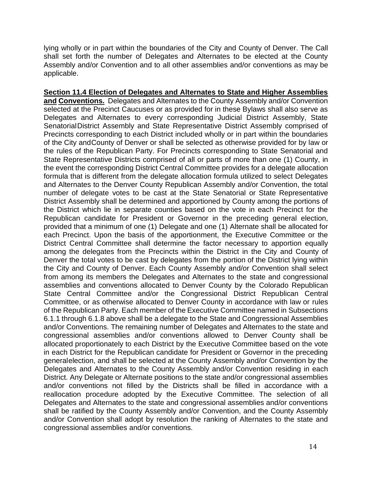lying wholly or in part within the boundaries of the City and County of Denver. The Call shall set forth the number of Delegates and Alternates to be elected at the County Assembly and/or Convention and to all other assemblies and/or conventions as may be applicable.

**Section 11.4 Election of Delegates and Alternates to State and Higher Assemblies and Conventions.** Delegates and Alternates to the County Assembly and/or Convention selected at the Precinct Caucuses or as provided for in these Bylaws shall also serve as Delegates and Alternates to every corresponding Judicial District Assembly, State SenatorialDistrict Assembly and State Representative District Assembly comprised of Precincts corresponding to each District included wholly or in part within the boundaries of the City andCounty of Denver or shall be selected as otherwise provided for by law or the rules of the Republican Party. For Precincts corresponding to State Senatorial and State Representative Districts comprised of all or parts of more than one (1) County, in the event the corresponding District Central Committee provides for a delegate allocation formula that is different from the delegate allocation formula utilized to select Delegates and Alternates to the Denver County Republican Assembly and/or Convention, the total number of delegate votes to be cast at the State Senatorial or State Representative District Assembly shall be determined and apportioned by County among the portions of the District which lie in separate counties based on the vote in each Precinct for the Republican candidate for President or Governor in the preceding general election, provided that a minimum of one (1) Delegate and one (1) Alternate shall be allocated for each Precinct. Upon the basis of the apportionment, the Executive Committee or the District Central Committee shall determine the factor necessary to apportion equally among the delegates from the Precincts within the District in the City and County of Denver the total votes to be cast by delegates from the portion of the District lying within the City and County of Denver. Each County Assembly and/or Convention shall select from among its members the Delegates and Alternates to the state and congressional assemblies and conventions allocated to Denver County by the Colorado Republican State Central Committee and/or the Congressional District Republican Central Committee, or as otherwise allocated to Denver County in accordance with law or rules of the Republican Party. Each member of the Executive Committee named in Subsections 6.1.1 through 6.1.8 above shall be a delegate to the State and Congressional Assemblies and/or Conventions. The remaining number of Delegates and Alternates to the state and congressional assemblies and/or conventions allowed to Denver County shall be allocated proportionately to each District by the Executive Committee based on the vote in each District for the Republican candidate for President or Governor in the preceding generalelection, and shall be selected at the County Assembly and/or Convention by the Delegates and Alternates to the County Assembly and/or Convention residing in each District. Any Delegate or Alternate positions to the state and/or congressional assemblies and/or conventions not filled by the Districts shall be filled in accordance with a reallocation procedure adopted by the Executive Committee. The selection of all Delegates and Alternates to the state and congressional assemblies and/or conventions shall be ratified by the County Assembly and/or Convention, and the County Assembly and/or Convention shall adopt by resolution the ranking of Alternates to the state and congressional assemblies and/or conventions.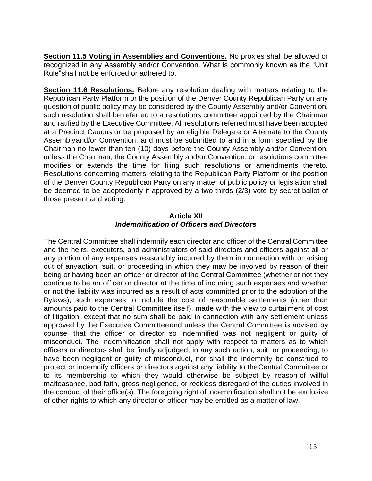**Section 11.5 Voting in Assemblies and Conventions.** No proxies shall be allowed or recognized in any Assembly and/or Convention. What is commonly known as the "Unit Rule"shall not be enforced or adhered to.

**Section 11.6 Resolutions.** Before any resolution dealing with matters relating to the Republican Party Platform or the position of the Denver County Republican Party on any question of public policy may be considered by the County Assembly and/or Convention, such resolution shall be referred to a resolutions committee appointed by the Chairman and ratified by the Executive Committee. All resolutions referred must have been adopted at a Precinct Caucus or be proposed by an eligible Delegate or Alternate to the County Assemblyand/or Convention, and must be submitted to and in a form specified by the Chairman no fewer than ten (10) days before the County Assembly and/or Convention, unless the Chairman, the County Assembly and/or Convention, or resolutions committee modifies or extends the time for filing such resolutions or amendments thereto. Resolutions concerning matters relating to the Republican Party Platform or the position of the Denver County Republican Party on any matter of public policy or legislation shall be deemed to be adoptedonly if approved by a two-thirds (2/3) vote by secret ballot of those present and voting.

### **Article XII** *Indemnification of Officers and Directors*

The Central Committee shall indemnify each director and officer of the Central Committee and the heirs, executors, and administrators of said directors and officers against all or any portion of any expenses reasonably incurred by them in connection with or arising out of anyaction, suit, or proceeding in which they may be involved by reason of their being or having been an officer or director of the Central Committee (whether or not they continue to be an officer or director at the time of incurring such expenses and whether or not the liability was incurred as a result of acts committed prior to the adoption of the Bylaws), such expenses to include the cost of reasonable settlements (other than amounts paid to the Central Committee itself), made with the view to curtailment of cost of litigation, except that no sum shall be paid in connection with any settlement unless approved by the Executive Committeeand unless the Central Committee is advised by counsel that the officer or director so indemnified was not negligent or guilty of misconduct. The indemnification shall not apply with respect to matters as to which officers or directors shall be finally adjudged, in any such action, suit, or proceeding, to have been negligent or guilty of misconduct, nor shall the indemnity be construed to protect or indemnify officers or directors against any liability to theCentral Committee or to its membership to which they would otherwise be subject by reason of willful malfeasance, bad faith, gross negligence, or reckless disregard of the duties involved in the conduct of their office(s). The foregoing right of indemnification shall not be exclusive of other rights to which any director or officer may be entitled as a matter of law.